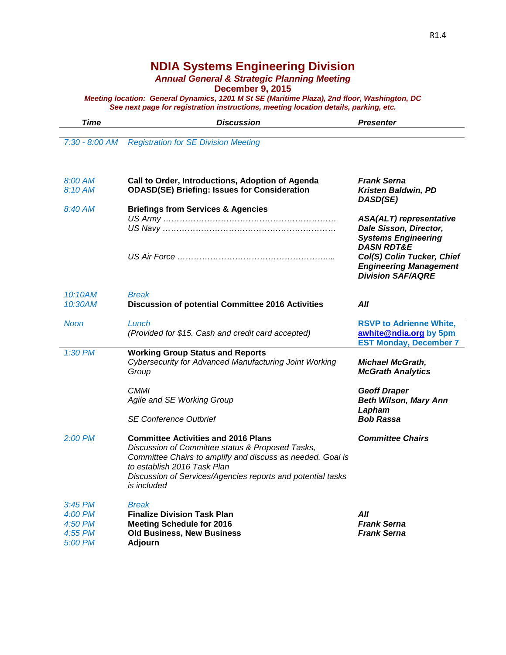## **NDIA Systems Engineering Division** *Annual General & Strategic Planning Meeting*

**December 9, 2015**

*Meeting location: General Dynamics, 1201 M St SE (Maritime Plaza), 2nd floor, Washington, DC See next page for registration instructions, meeting location details, parking, etc.*

| <b>Time</b>                                             | <b>Discussion</b>                                                                                                                                                                                                                                                         | <b>Presenter</b>                                                                                                |
|---------------------------------------------------------|---------------------------------------------------------------------------------------------------------------------------------------------------------------------------------------------------------------------------------------------------------------------------|-----------------------------------------------------------------------------------------------------------------|
| 7:30 - 8:00 AM                                          | <b>Registration for SE Division Meeting</b>                                                                                                                                                                                                                               |                                                                                                                 |
| 8:00 AM<br>8:10 AM                                      | Call to Order, Introductions, Adoption of Agenda<br><b>ODASD(SE) Briefing: Issues for Consideration</b>                                                                                                                                                                   | <b>Frank Serna</b><br>Kristen Baldwin, PD<br>DASD(SE)                                                           |
| $8:40$ AM                                               | <b>Briefings from Services &amp; Agencies</b>                                                                                                                                                                                                                             | <b>ASA(ALT) representative</b><br>Dale Sisson, Director,<br><b>Systems Engineering</b><br><b>DASN RDT&amp;E</b> |
|                                                         |                                                                                                                                                                                                                                                                           | Col(S) Colin Tucker, Chief<br><b>Engineering Management</b><br><b>Division SAF/AQRE</b>                         |
| 10:10AM<br>10:30AM                                      | <b>Break</b><br><b>Discussion of potential Committee 2016 Activities</b>                                                                                                                                                                                                  | All                                                                                                             |
| <b>Noon</b>                                             | Lunch<br>(Provided for \$15. Cash and credit card accepted)                                                                                                                                                                                                               | <b>RSVP to Adrienne White,</b><br>awhite@ndia.org by 5pm<br><b>EST Monday, December 7</b>                       |
| $1:30 P\overline{M}$                                    | <b>Working Group Status and Reports</b><br>Cybersecurity for Advanced Manufacturing Joint Working<br>Group                                                                                                                                                                | <b>Michael McGrath,</b><br><b>McGrath Analytics</b>                                                             |
|                                                         | <b>CMMI</b><br>Agile and SE Working Group<br><b>SE Conference Outbrief</b>                                                                                                                                                                                                | <b>Geoff Draper</b><br><b>Beth Wilson, Mary Ann</b><br>Lapham<br><b>Bob Rassa</b>                               |
| 2:00 PM                                                 | <b>Committee Activities and 2016 Plans</b><br>Discussion of Committee status & Proposed Tasks,<br>Committee Chairs to amplify and discuss as needed. Goal is<br>to establish 2016 Task Plan<br>Discussion of Services/Agencies reports and potential tasks<br>is included | <b>Committee Chairs</b>                                                                                         |
| $3:45$ PM<br>$4:00$ PM<br>4:50 PM<br>4:55 PM<br>5:00 PM | <b>Break</b><br><b>Finalize Division Task Plan</b><br><b>Meeting Schedule for 2016</b><br><b>Old Business, New Business</b><br><b>Adjourn</b>                                                                                                                             | All<br><b>Frank Serna</b><br><b>Frank Serna</b>                                                                 |